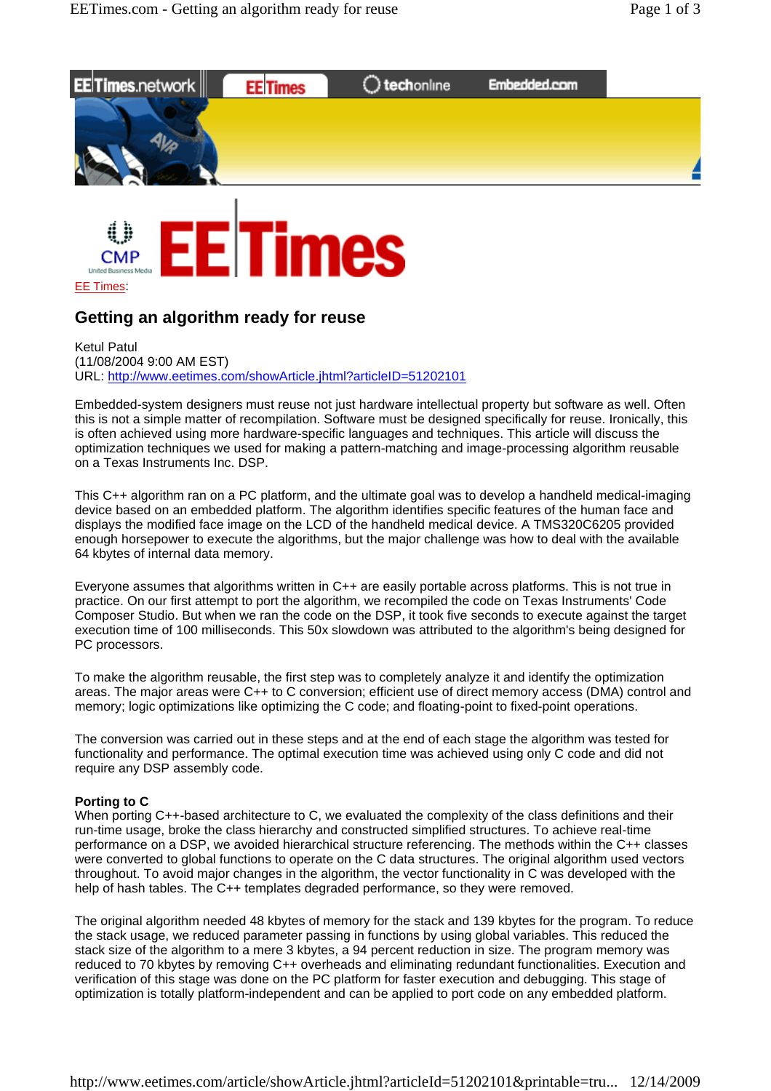



## **Getting an algorithm ready for reuse**

Ketul Patul (11/08/2004 9:00 AM EST) URL: http://www.eetimes.com/showArticle.jhtml?articleID=51202101

Embedded-system designers must reuse not just hardware intellectual property but software as well. Often this is not a simple matter of recompilation. Software must be designed specifically for reuse. Ironically, this is often achieved using more hardware-specific languages and techniques. This article will discuss the optimization techniques we used for making a pattern-matching and image-processing algorithm reusable on a Texas Instruments Inc. DSP.

This C++ algorithm ran on a PC platform, and the ultimate goal was to develop a handheld medical-imaging device based on an embedded platform. The algorithm identifies specific features of the human face and displays the modified face image on the LCD of the handheld medical device. A TMS320C6205 provided enough horsepower to execute the algorithms, but the major challenge was how to deal with the available 64 kbytes of internal data memory.

Everyone assumes that algorithms written in C++ are easily portable across platforms. This is not true in practice. On our first attempt to port the algorithm, we recompiled the code on Texas Instruments' Code Composer Studio. But when we ran the code on the DSP, it took five seconds to execute against the target execution time of 100 milliseconds. This 50x slowdown was attributed to the algorithm's being designed for PC processors.

To make the algorithm reusable, the first step was to completely analyze it and identify the optimization areas. The major areas were C++ to C conversion; efficient use of direct memory access (DMA) control and memory; logic optimizations like optimizing the C code; and floating-point to fixed-point operations.

The conversion was carried out in these steps and at the end of each stage the algorithm was tested for functionality and performance. The optimal execution time was achieved using only C code and did not require any DSP assembly code.

## **Porting to C**

When porting C++-based architecture to C, we evaluated the complexity of the class definitions and their run-time usage, broke the class hierarchy and constructed simplified structures. To achieve real-time performance on a DSP, we avoided hierarchical structure referencing. The methods within the C++ classes were converted to global functions to operate on the C data structures. The original algorithm used vectors throughout. To avoid major changes in the algorithm, the vector functionality in C was developed with the help of hash tables. The C++ templates degraded performance, so they were removed.

The original algorithm needed 48 kbytes of memory for the stack and 139 kbytes for the program. To reduce the stack usage, we reduced parameter passing in functions by using global variables. This reduced the stack size of the algorithm to a mere 3 kbytes, a 94 percent reduction in size. The program memory was reduced to 70 kbytes by removing C++ overheads and eliminating redundant functionalities. Execution and verification of this stage was done on the PC platform for faster execution and debugging. This stage of optimization is totally platform-independent and can be applied to port code on any embedded platform.